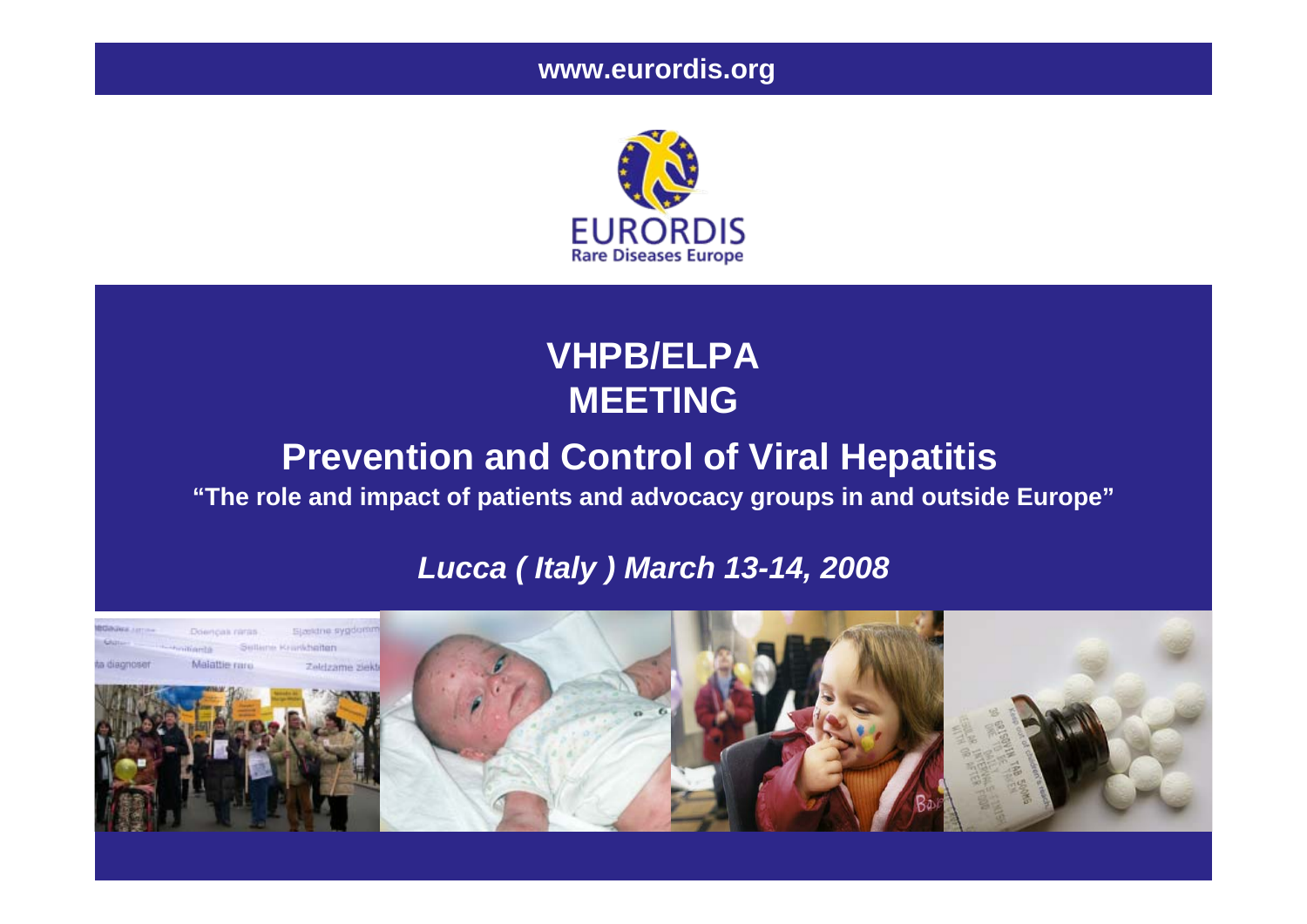**www.eurordis.org**



## **VHPB/ELPA MEETING**

## **Prevention and Control of Viral Hepatitis**

**"The role and impact of patients and advocacy groups in and outside Europe"**

### *Lucca ( Italy ) March 13-14, 2008*

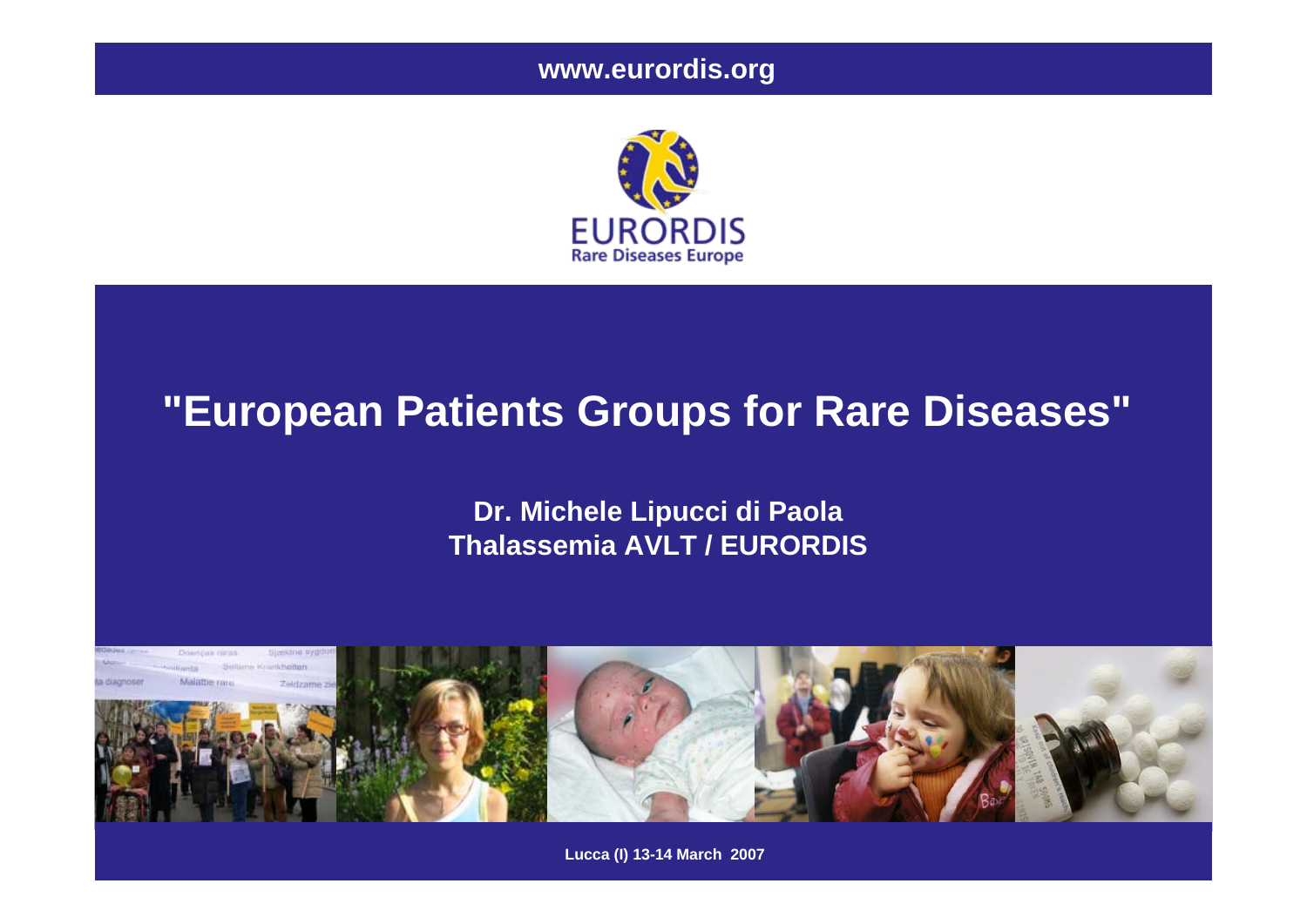**www.eurordis.org**



## **"European Patients Groups for Rare Diseases"**

**Dr. Michele Lipucci di Paola Thalassemia AVLT / EURORDIS**



**Lucca (I) 13-14 March 2007**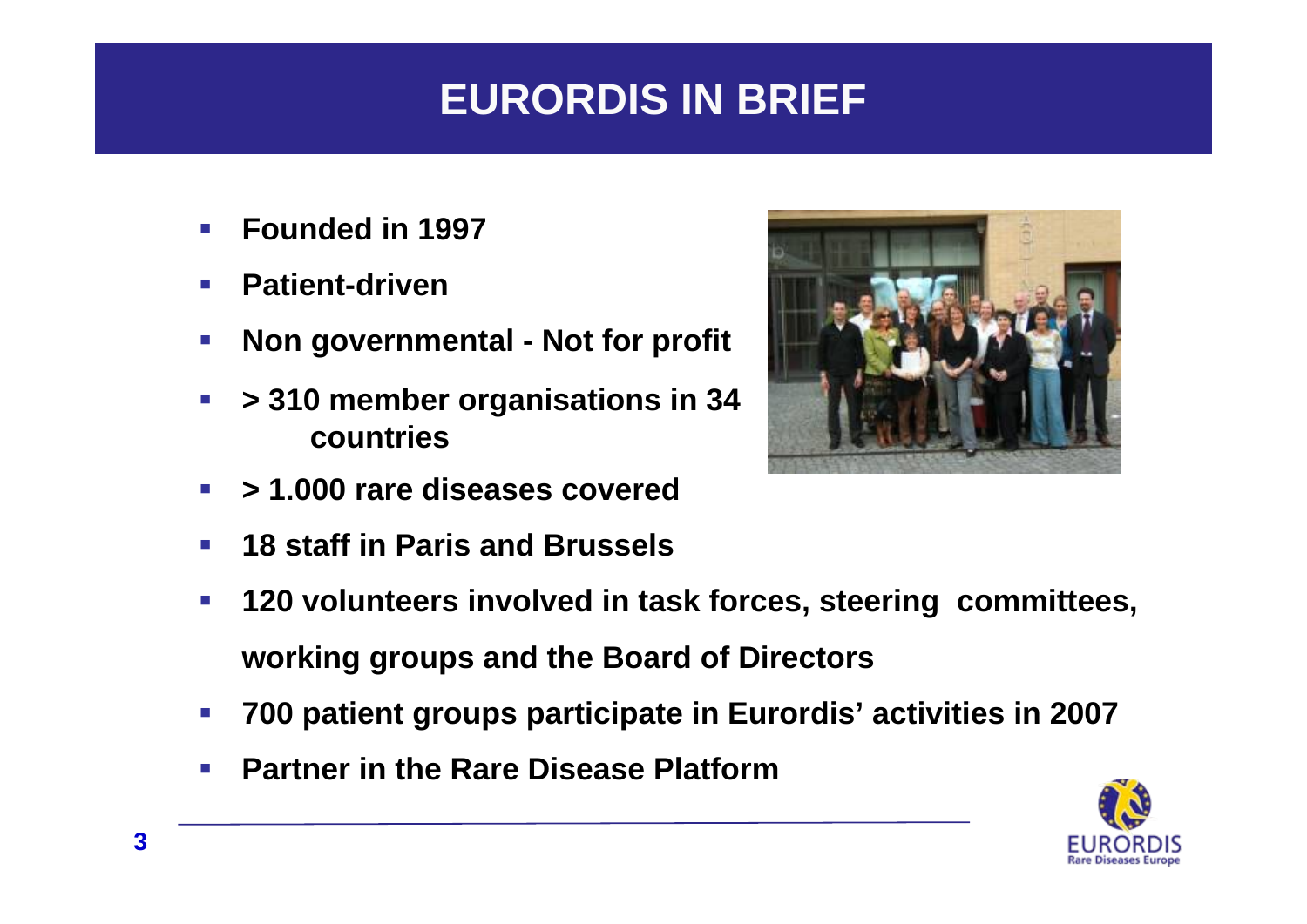## **EURORDIS IN BRIEF**

- $\mathcal{L}^{\text{max}}$ **Founded in 1997**
- $\mathcal{L}^{\text{max}}$ **Patient-driven**
- $\mathcal{L}_{\mathcal{A}}$ **Non governmental - Not for profit**
- $\mathcal{L}_{\mathcal{A}}$  **> 310 member organisations in 34 countries**
- $\mathbb{R}^n$ **> 1.000 rare diseases covered**
- $\mathcal{L}_{\mathrm{eff}}$ **18 staff in Paris and Brussels**
- $\mathcal{L}^{\mathcal{L}}$  **120 volunteers involved in task forces, steering committees, working groups and the Board of Directors**
- $\mathcal{L}^{\text{max}}$ **700 patient groups participate in Eurordis' activities in 2007**
- $\mathcal{L}_{\mathrm{eff}}$ **Partner in the Rare Disease Platform**



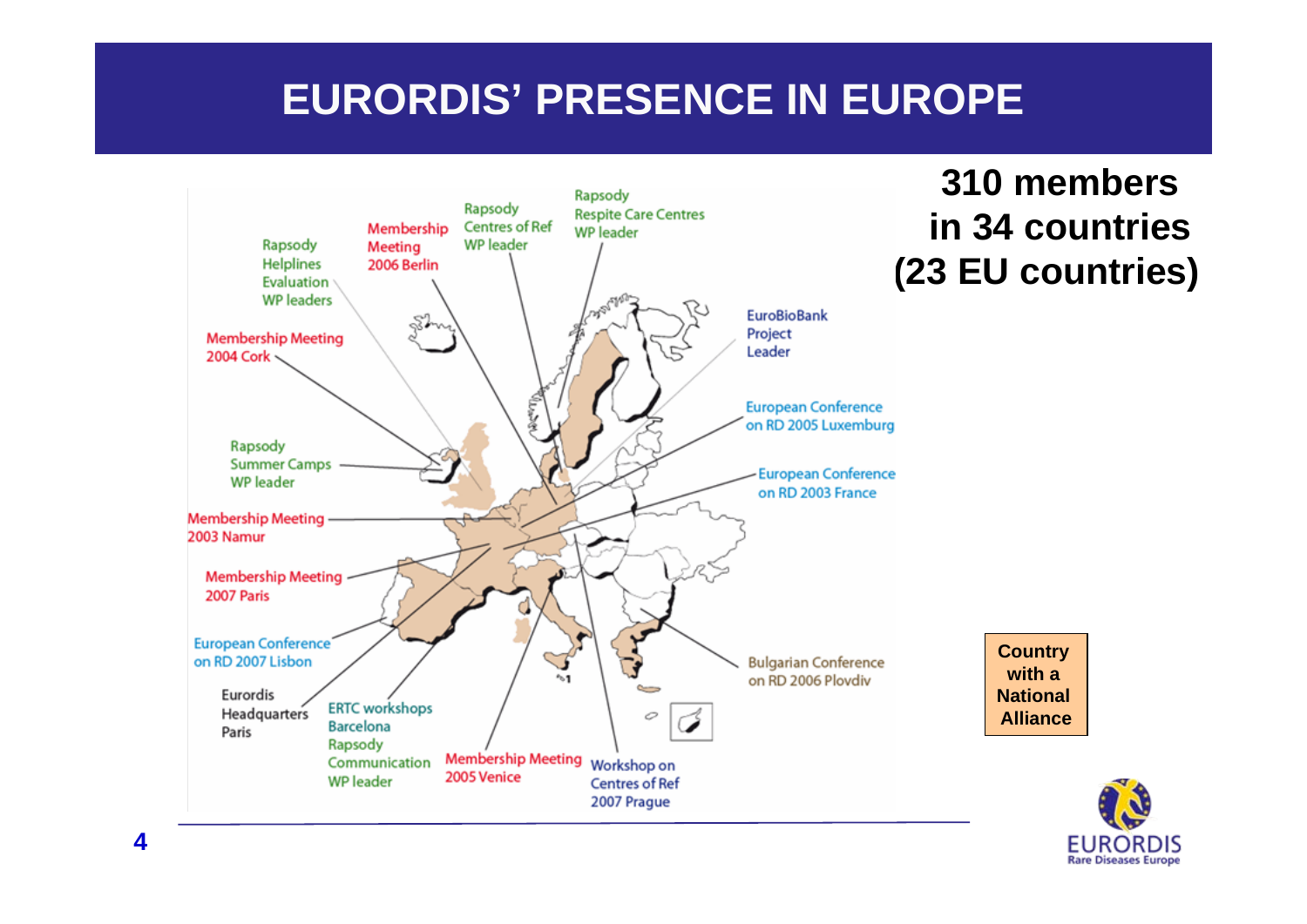# **EURORDIS' PRESENCE IN EUROPE**



**310 membersin 34 countries (23 EU countries)**

> **Country with a National Alliance**

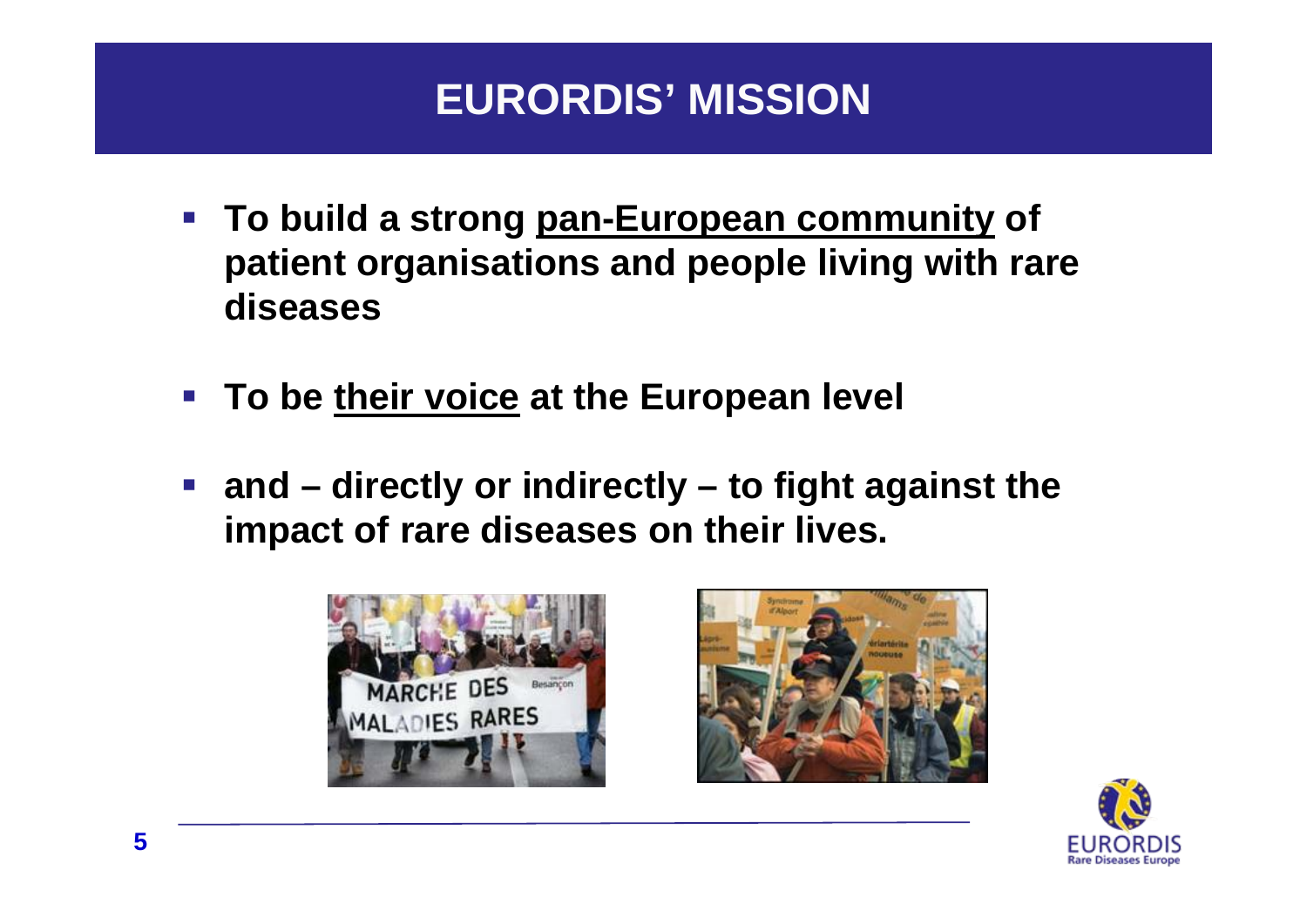## **EURORDIS' MISSION**

- **To build a strong pan-European community of patient organisations and people living with rare diseases**
- **To be their voice at the European level**
- **and – directly or indirectly – to fight against the impact of rare diseases on their lives.**





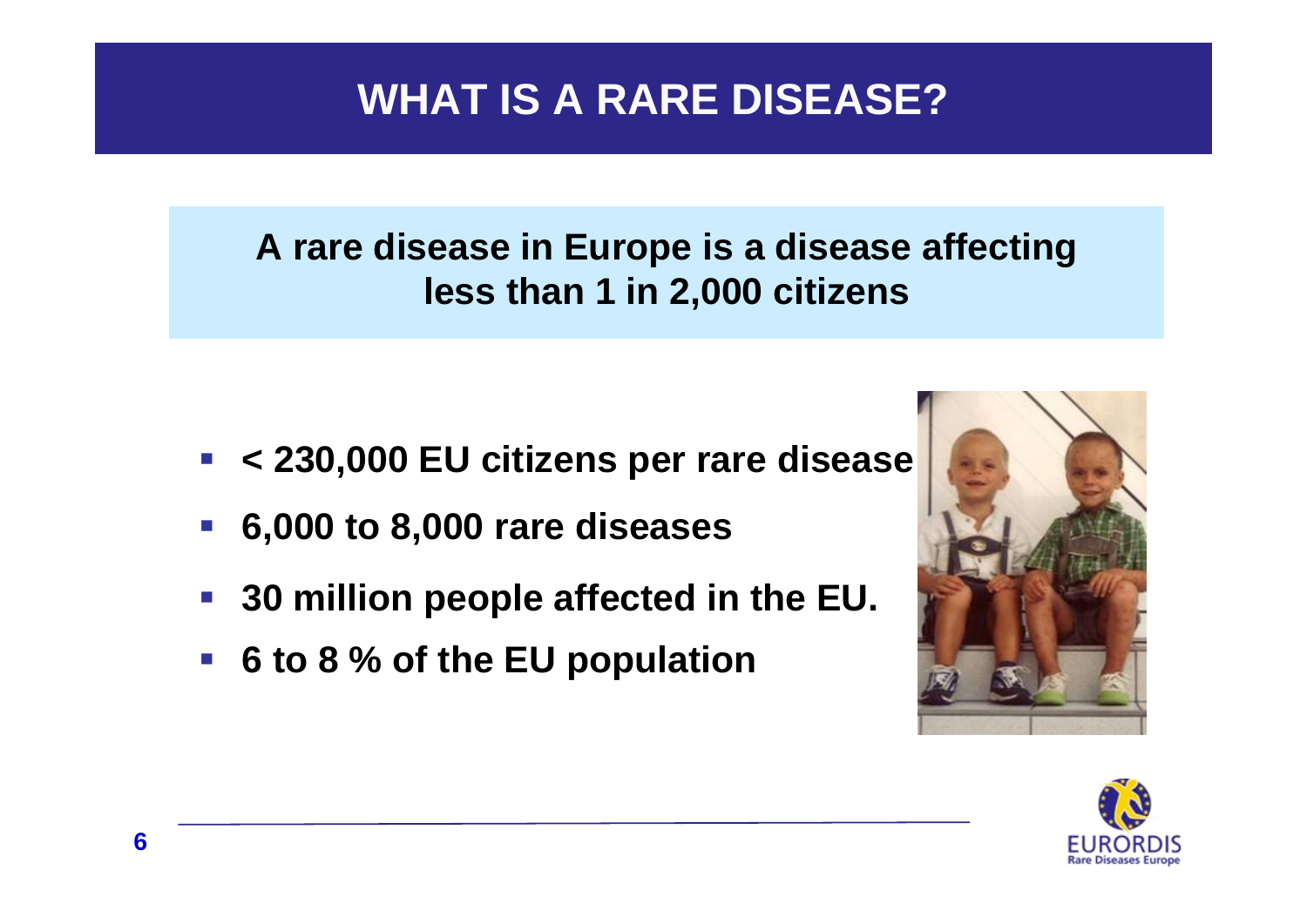## **WHAT IS A RARE DISEASE?**

## **A rare disease in Europe is a disease affecting less than 1 in 2,000 citizens**

- **< 230,000 EU citizens per rare disease**
- **6,000 to 8,000 rare diseases**
- **30 million people affected in the EU.**
- **6 to 8 % of the EU population**



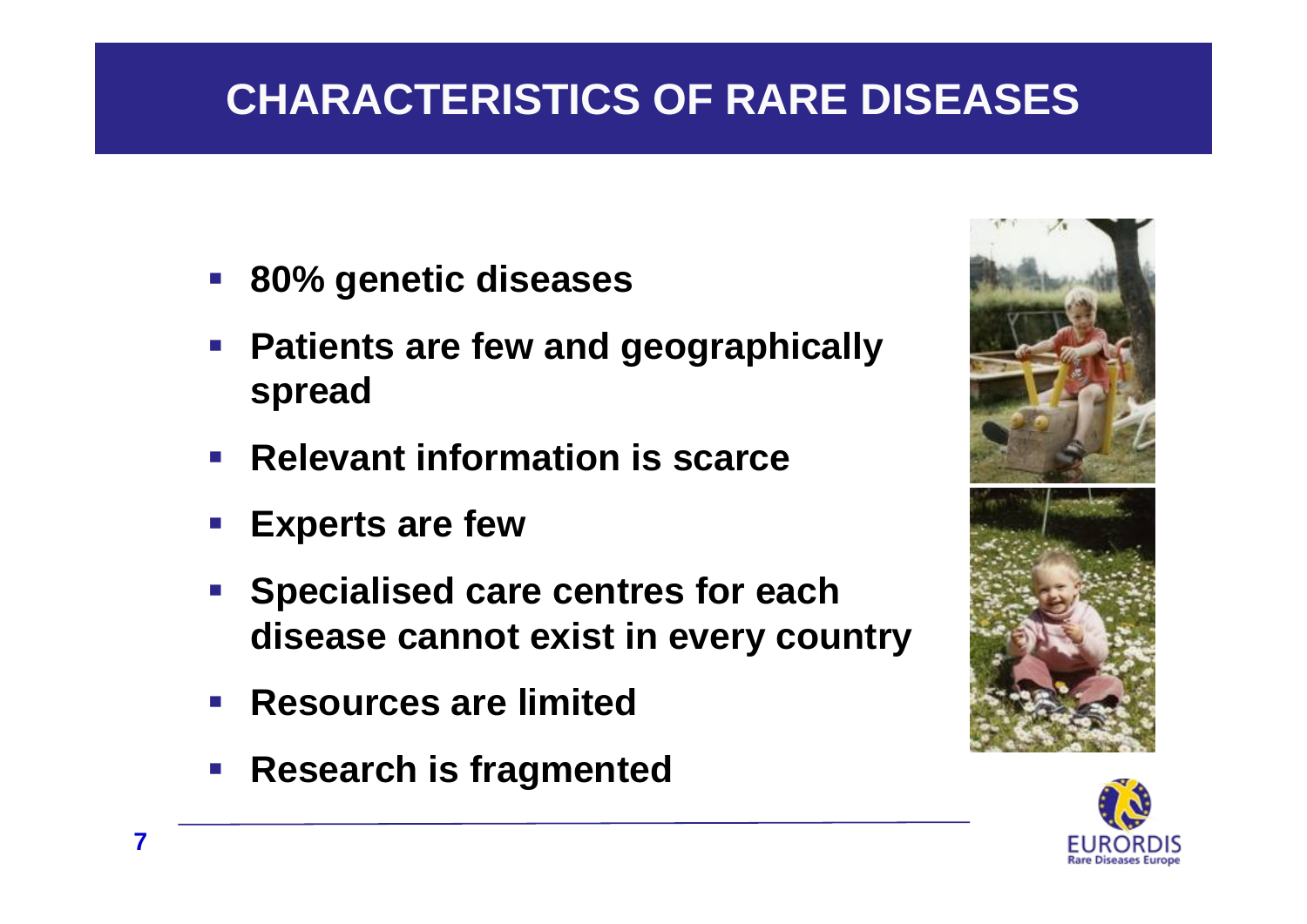# **CHARACTERISTICS OF RARE DISEASES**

- **80% genetic diseases**
- **Patients are few and geographically spread**
- $\mathcal{L}^{\text{max}}$ **Relevant information is scarce**
- **Experts are few**
- **Service Service Specialised care centres for each disease cannot exist in every country**
- $\mathcal{L}_{\mathcal{A}}$ **Resources are limited**
- **Research is fragmented**



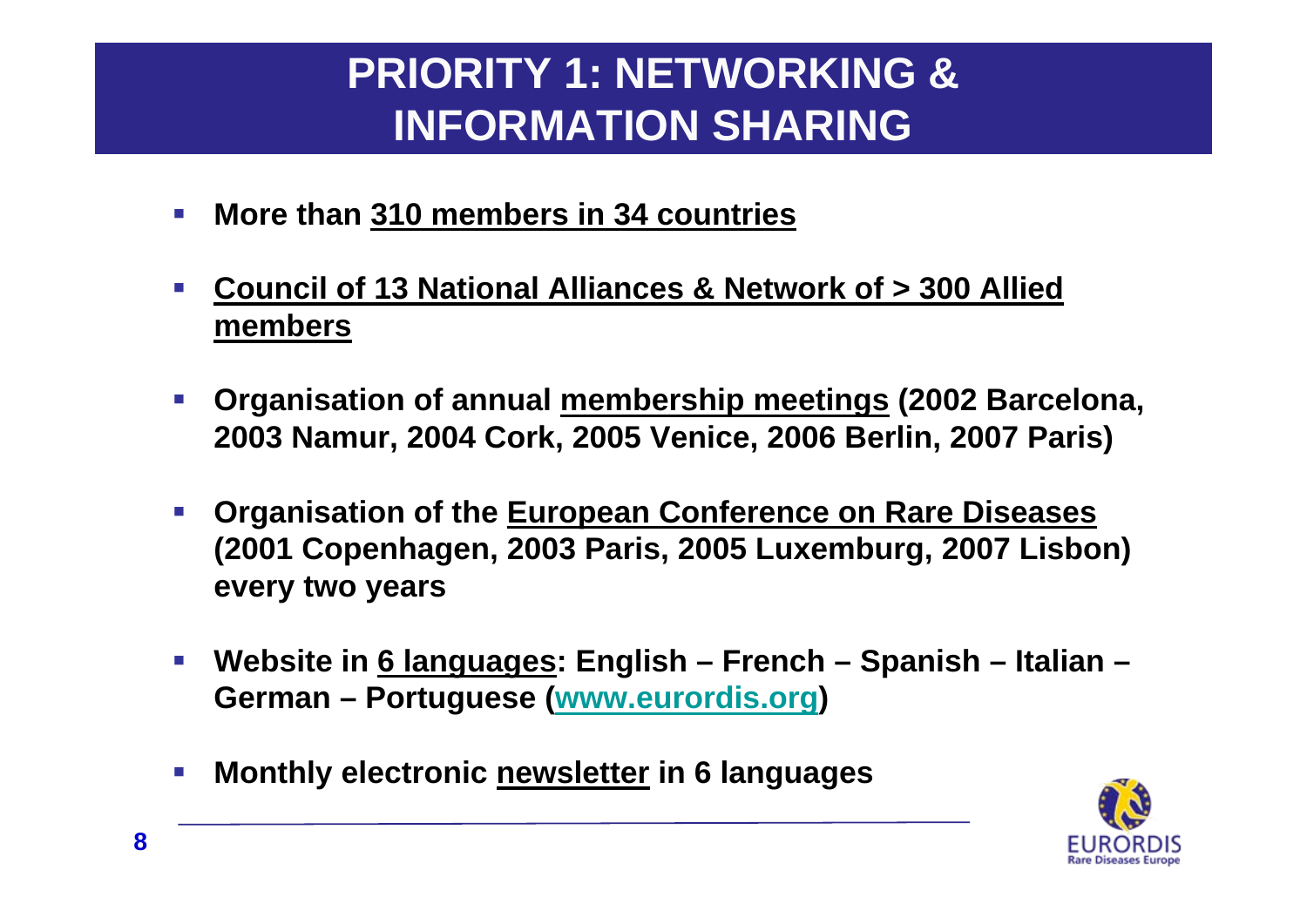# **PRIORITY 1: NETWORKING & INFORMATION SHARING**

- $\mathcal{L}_{\mathcal{A}}$ **More than 310 members in 34 countries**
- $\mathcal{L}_{\mathcal{A}}$  **Council of 13 National Alliances & Network of > 300 Allied members**
- $\mathcal{L}_{\mathcal{A}}$  **Organisation of annual membership meetings (2002 Barcelona, 2003 Namur, 2004 Cork, 2005 Venice, 2006 Berlin, 2007 Paris)**
- $\mathcal{L}_{\mathcal{A}}$  **Organisation of the European Conference on Rare Diseases (2001 Copenhagen, 2003 Paris, 2005 Luxemburg, 2007 Lisbon) every two years**
- $\mathcal{L}_{\mathcal{A}}$  **Website in 6 languages: English – French – Spanish – Italian – German – Portuguese ([www.eurordis.org](http://www.eurordis.org/))**
- $\mathcal{L}_{\mathcal{A}}$ **Monthly electronic newsletter in 6 languages**

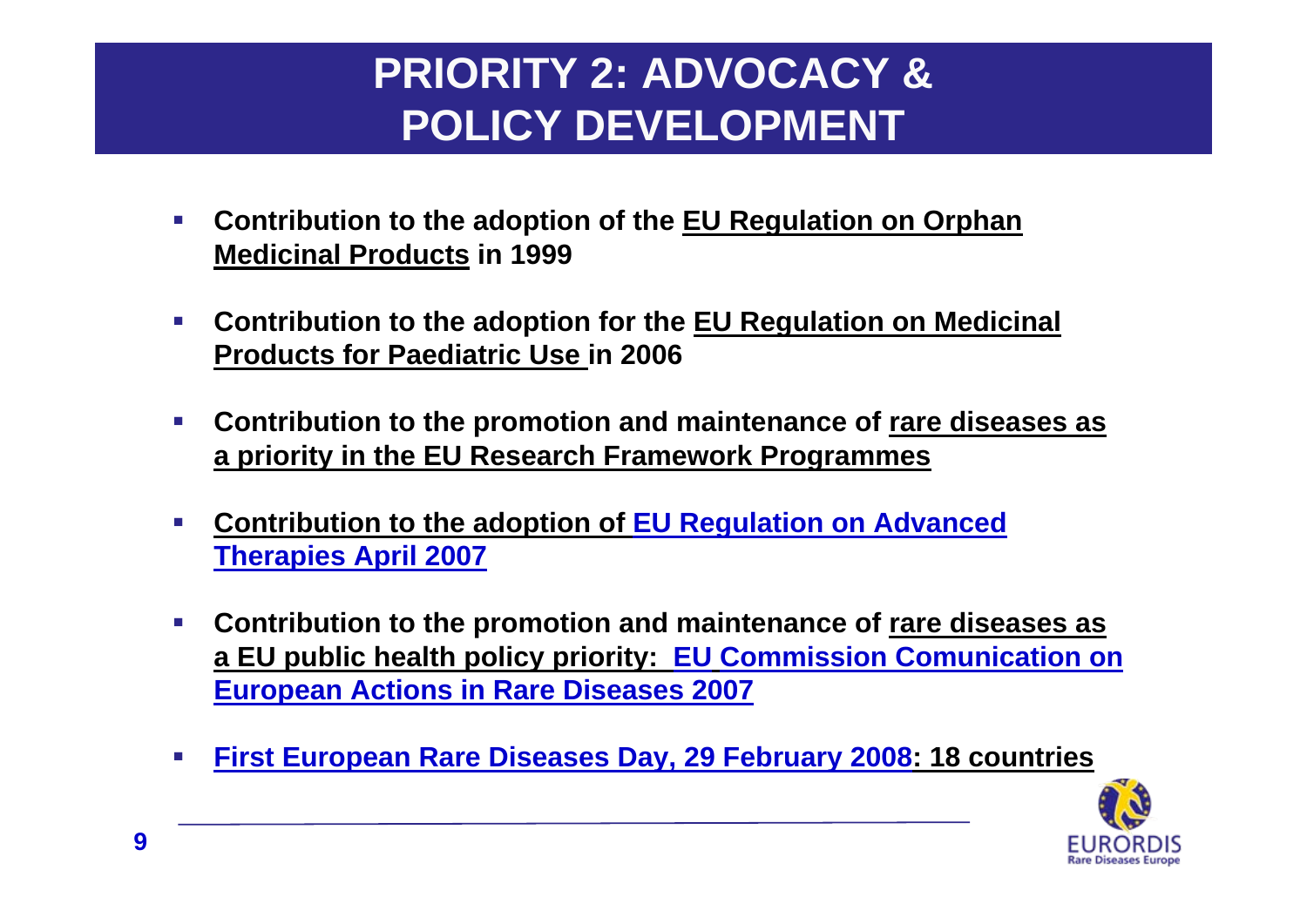# **PRIORITY 2: ADVOCACY & POLICY DEVELOPMENT**

- $\mathcal{L}_{\mathcal{A}}$  **Contribution to the adoption of the EU Regulation on Orphan Medicinal Products in 1999**
- $\mathcal{C}$  **Contribution to the adoption for the EU Regulation on Medicinal Products for Paediatric Use in 2006**
- $\mathcal{L}_{\mathcal{A}}$  **Contribution to the promotion and maintenance of rare diseases as a priority in the EU Research Framework Programmes**
- $\mathcal{C}$  **Contribution to the adoption of EU Regulation on Advanced Therapies April 2007**
- $\mathcal{L}_{\mathcal{A}}$  **Contribution to the promotion and maintenance of rare diseases as a EU public health policy priority: EU Commission Comunication on European Actions in Rare Diseases 2007**
- $\mathcal{L}_{\mathcal{A}}$ **First European Rare Diseases Day, 29 February 2008: 18 countries**

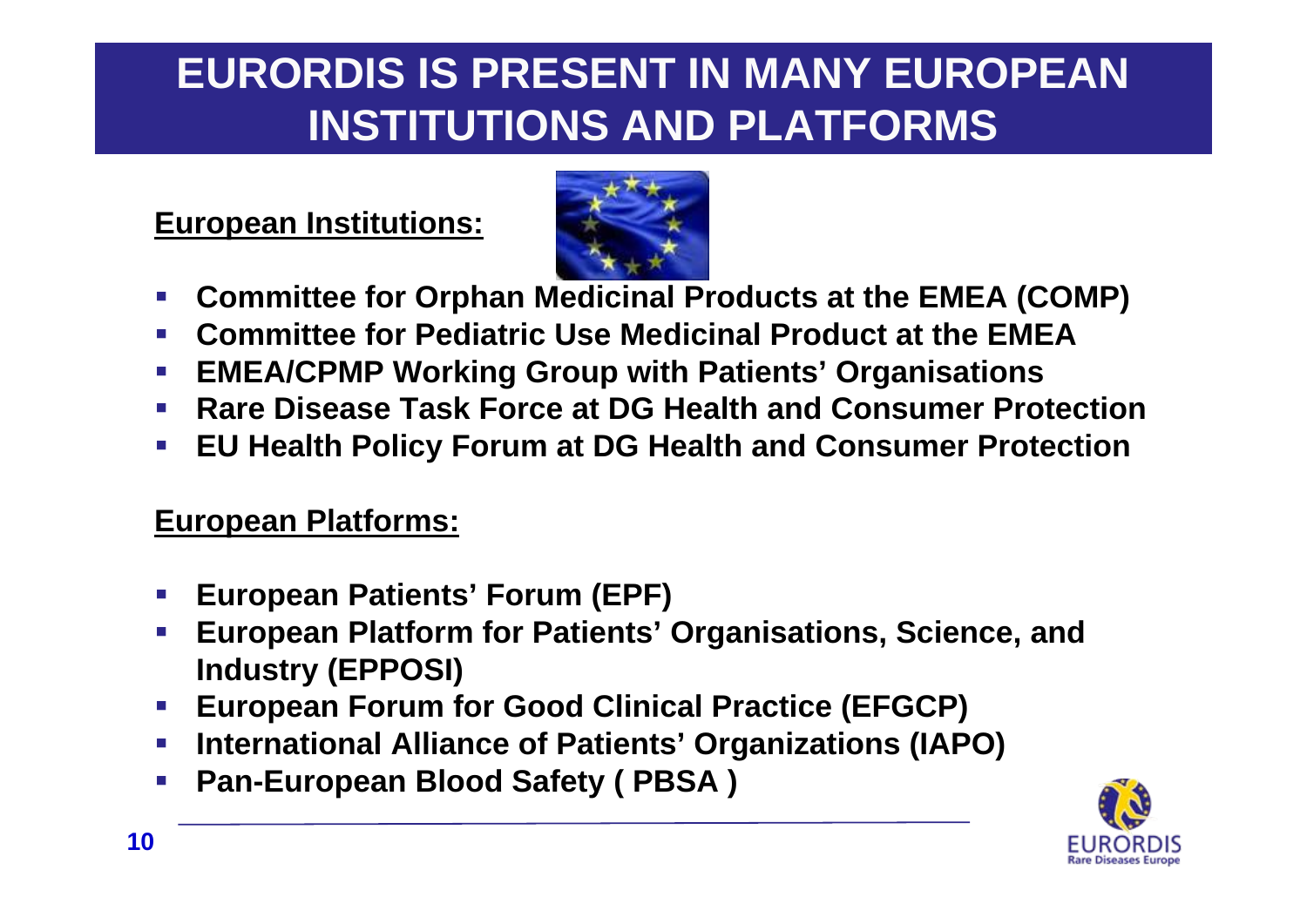# **EURORDIS IS PRESENT IN MANY EUROPEAN INSTITUTIONS AND PLATFORMS**

### **European Institutions:**



- h. **Committee for Orphan Medicinal Products at the EMEA (COMP)**
- $\mathcal{C}^{\mathcal{A}}$ **Committee for Pediatric Use Medicinal Product at the EMEA**
- $\mathcal{L}_{\mathcal{A}}$ **EMEA/CPMP Working Group with Patients' Organisations**
- $\mathcal{L}^{\mathcal{L}}$ **Rare Disease Task Force at DG Health and Consumer Protection**
- $\mathcal{L}_{\mathcal{A}}$ **EU Health Policy Forum at DG Health and Consumer Protection**

### **European Platforms:**

- $\mathcal{L}_{\mathcal{A}}$ **European Patients' Forum (EPF)**
- $\mathcal{L}_{\mathcal{A}}$  **European Platform for Patients' Organisations, Science, and Industry (EPPOSI)**
- h. **European Forum for Good Clinical Practice (EFGCP)**
- h. **International Alliance of Patients' Organizations (IAPO)**
- $\mathcal{L}_{\mathcal{A}}$ **Pan-European Blood Safety ( PBSA )**

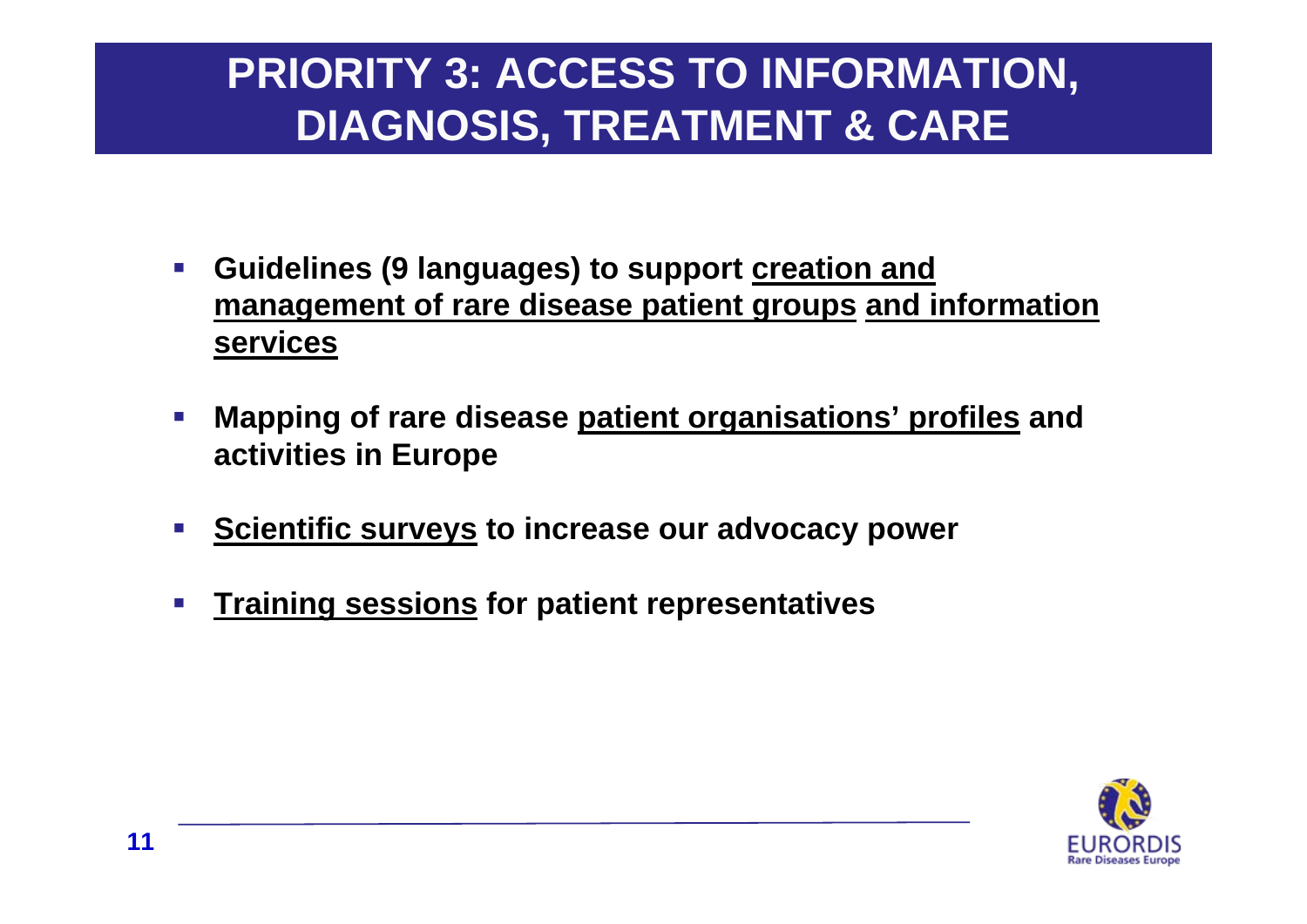# **PRIORITY 3: ACCESS TO INFORMATION, DIAGNOSIS, TREATMENT & CARE**

- $\mathcal{L}_{\mathcal{A}}$  **Guidelines (9 languages) to support creation and management of rare disease patient groups and information services**
- $\mathcal{L}_{\mathcal{A}}$  **Mapping of rare disease patient organisations' profiles and activities in Europe**
- $\mathcal{C}_{\mathcal{A}}$ **Scientific surveys to increase our advocacy power**
- $\mathcal{C}_{\mathcal{A}}$ **Training sessions for patient representatives**

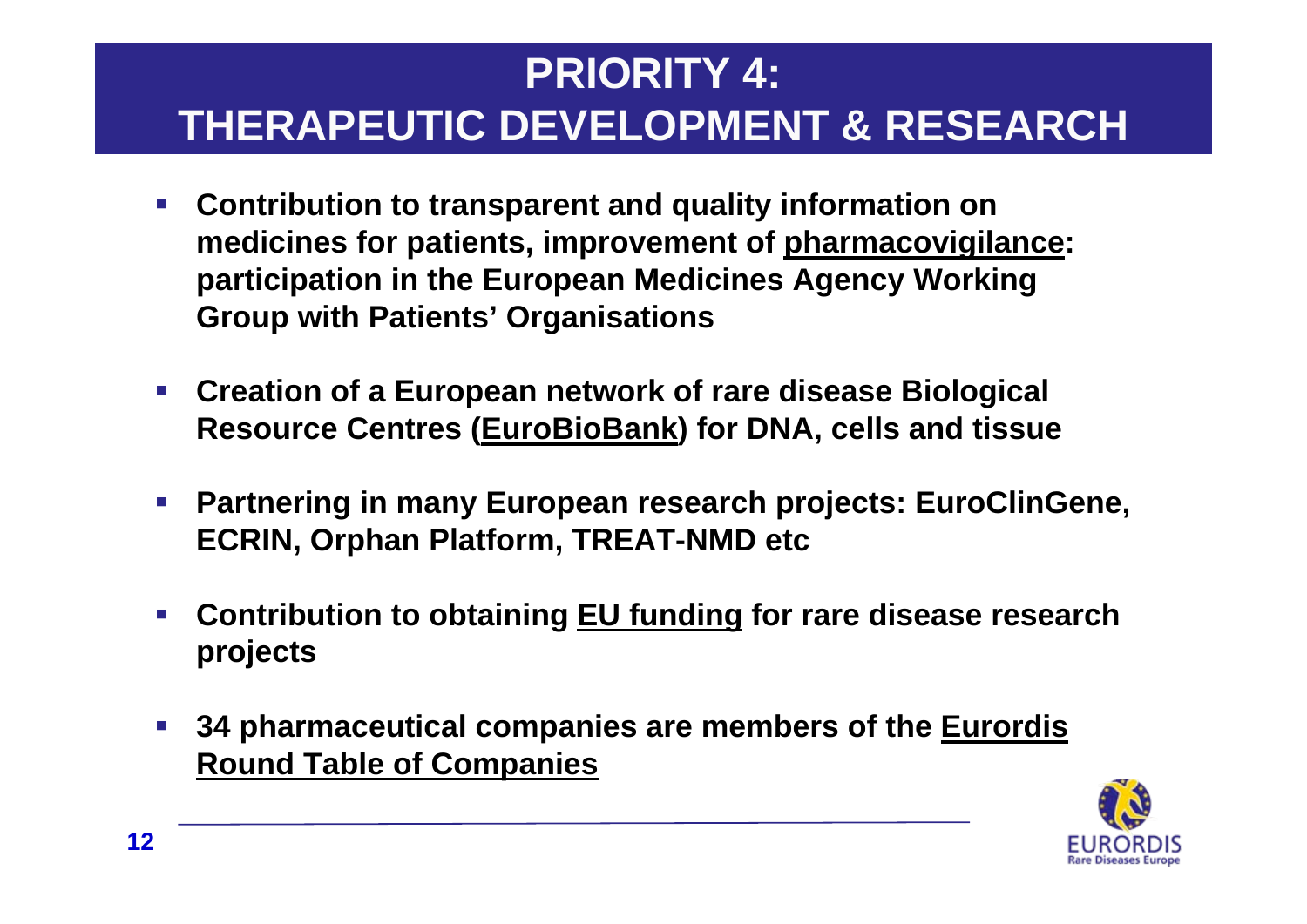# **PRIORITY 4: THERAPEUTIC DEVELOPMENT & RESEARCH**

- $\mathcal{L}_{\mathcal{A}}$  **Contribution to transparent and quality information on medicines for patients, improvement of pharmacovigilance: participation in the European Medicines Agency Working Group with Patients' Organisations**
- $\mathcal{L}_{\mathcal{A}}$  **Creation of a European network of rare disease Biological Resource Centres (EuroBioBank) for DNA, cells and tissue**
- $\mathbb{R}^n$  **Partnering in many European research projects: EuroClinGene, ECRIN, Orphan Platform, TREAT-NMD etc**
- $\mathcal{L}_{\mathcal{A}}$  **Contribution to obtaining EU funding for rare disease research projects**
- $\mathcal{L}_{\mathcal{A}}$  **34 pharmaceutical companies are members of the Eurordis Round Table of Companies**

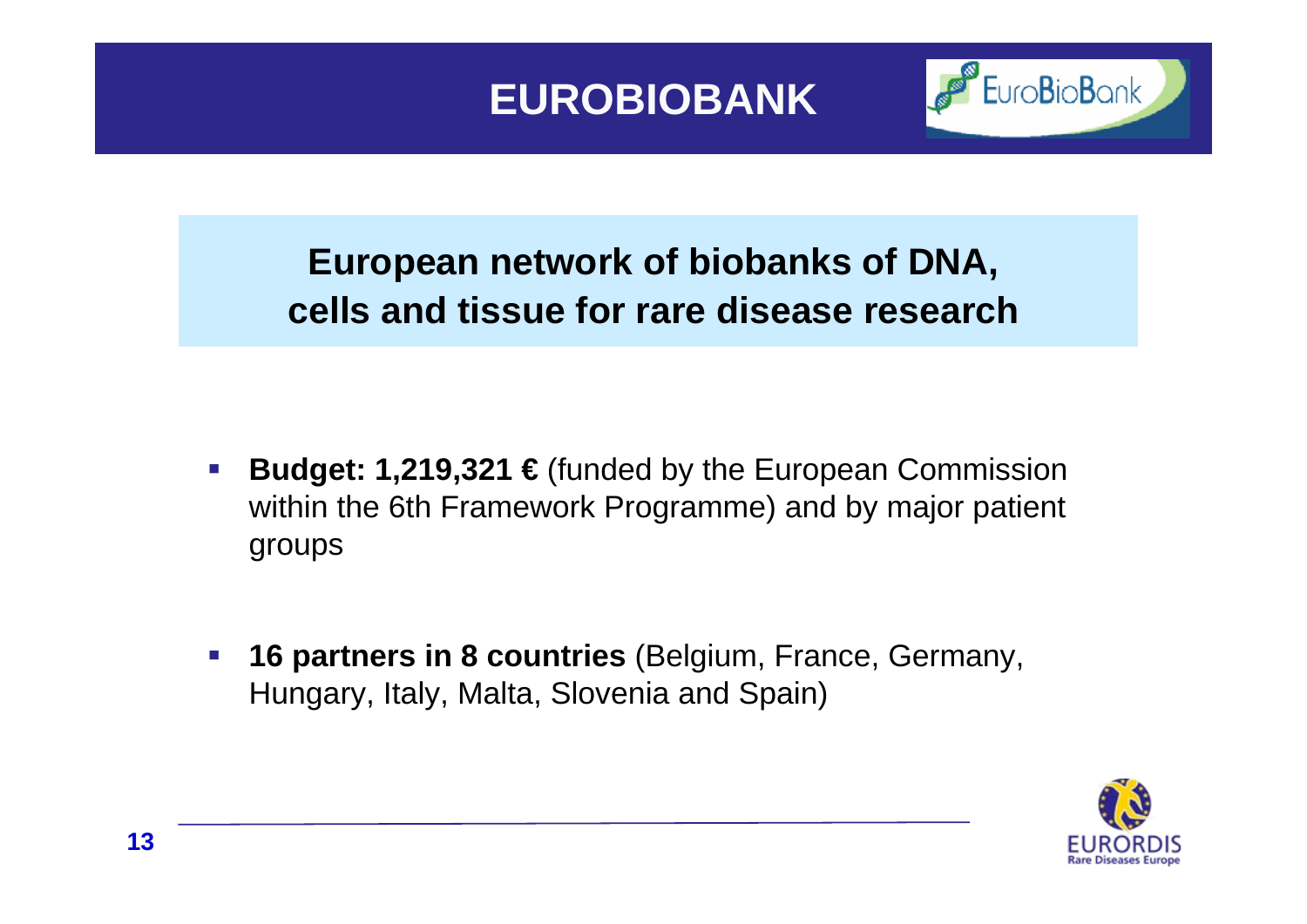## **EUROBIOBANK**



## **European network of biobanks of DNA, cells and tissue for rare disease research**

- $\mathcal{C}^{\mathcal{A}}$  **Budget: 1,219,321 €** (funded by the European Commission within the 6th Framework Programme) and by major patient groups
- $\mathcal{L}_{\mathcal{A}}$  **16 partners in 8 countries** (Belgium, France, Germany, Hungary, Italy, Malta, Slovenia and Spain)

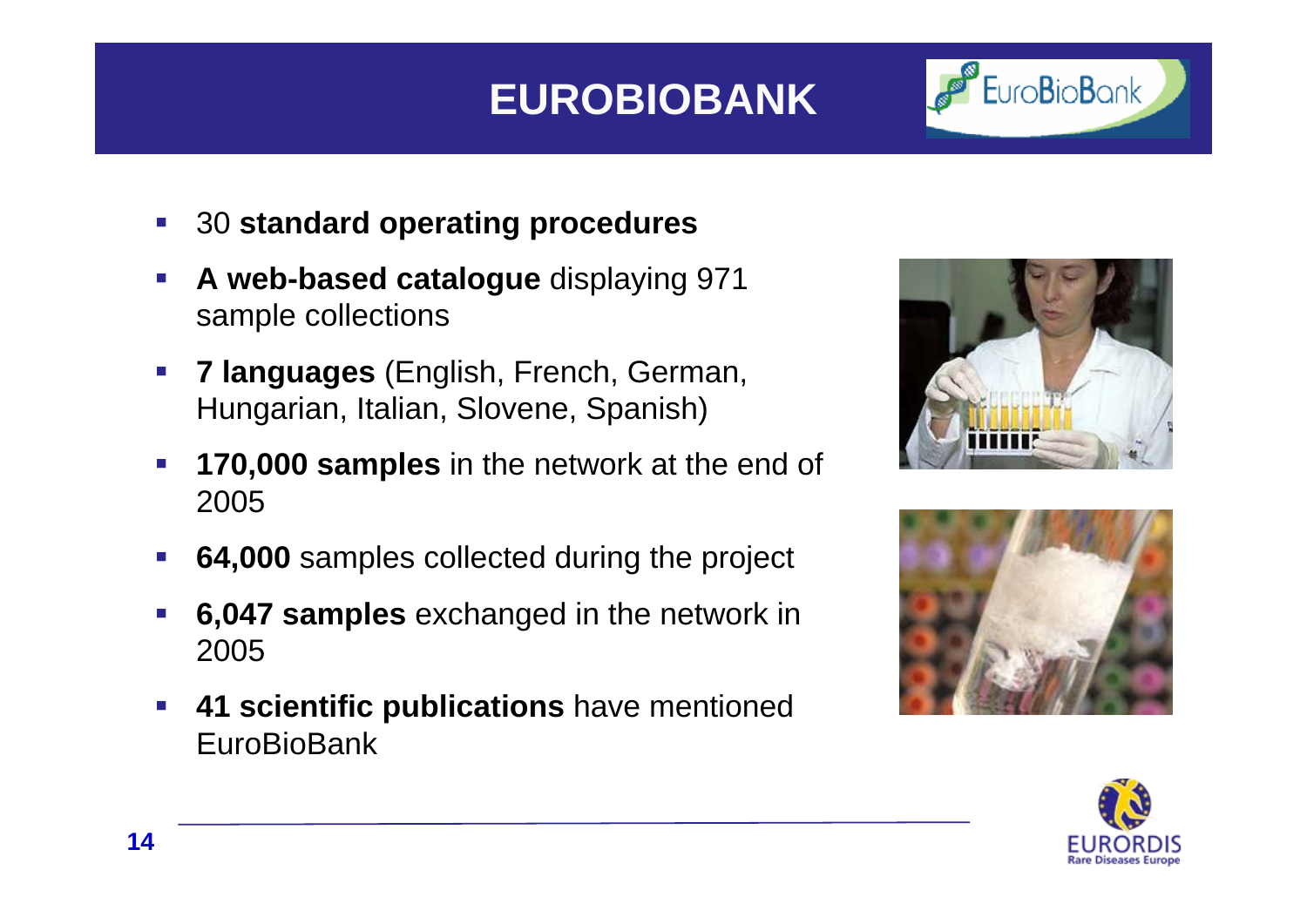# **EUROBIOBANK**



- $\mathcal{L}_{\mathcal{A}}$ 30 **standard operating procedures**
- $\mathcal{L}_{\mathcal{A}}$  **A web-based catalogue** displaying 971 sample collections
- $\mathcal{L}_{\mathcal{A}}$  **7 languages** (English, French, German, Hungarian, Italian, Slovene, Spanish)
- $\mathcal{L}_{\mathcal{A}}$  **170,000 samples** in the network at the end of 2005
- $\mathcal{L}_{\mathcal{A}}$ **64,000** samples collected during the project
- h. **6,047 samples** exchanged in the network in 2005
- $\mathcal{L}_{\mathcal{A}}$  **41 scientific publications** have mentioned EuroBioBank





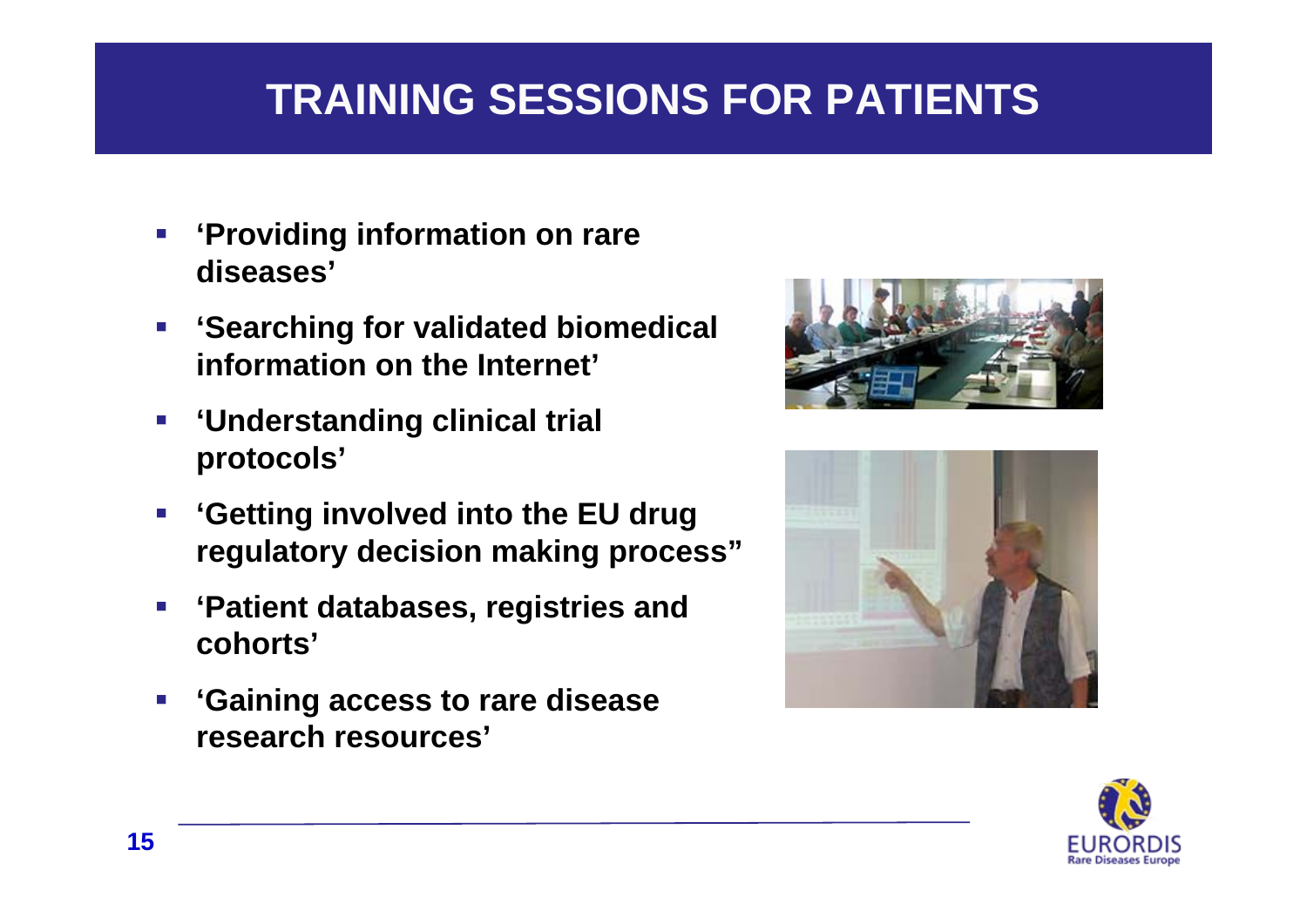# **TRAINING SESSIONS FOR PATIENTS**

- $\mathbb{R}^3$  **'Providing information on rare diseases'**
- $\mathcal{L}_{\mathcal{A}}$  **'Searching for validated biomedical information on the Internet'**
- $\mathcal{L}_{\mathcal{A}}$  **'Understanding clinical trial protocols'**
- $\overline{\mathbb{R}^n}$  **'Getting involved into the EU drug regulatory decision making process"**
- $\mathbb{R}^n$  **'Patient databases, registries and cohorts'**
- $\mathbb{R}^n$  **'Gaining access to rare disease research resources'**





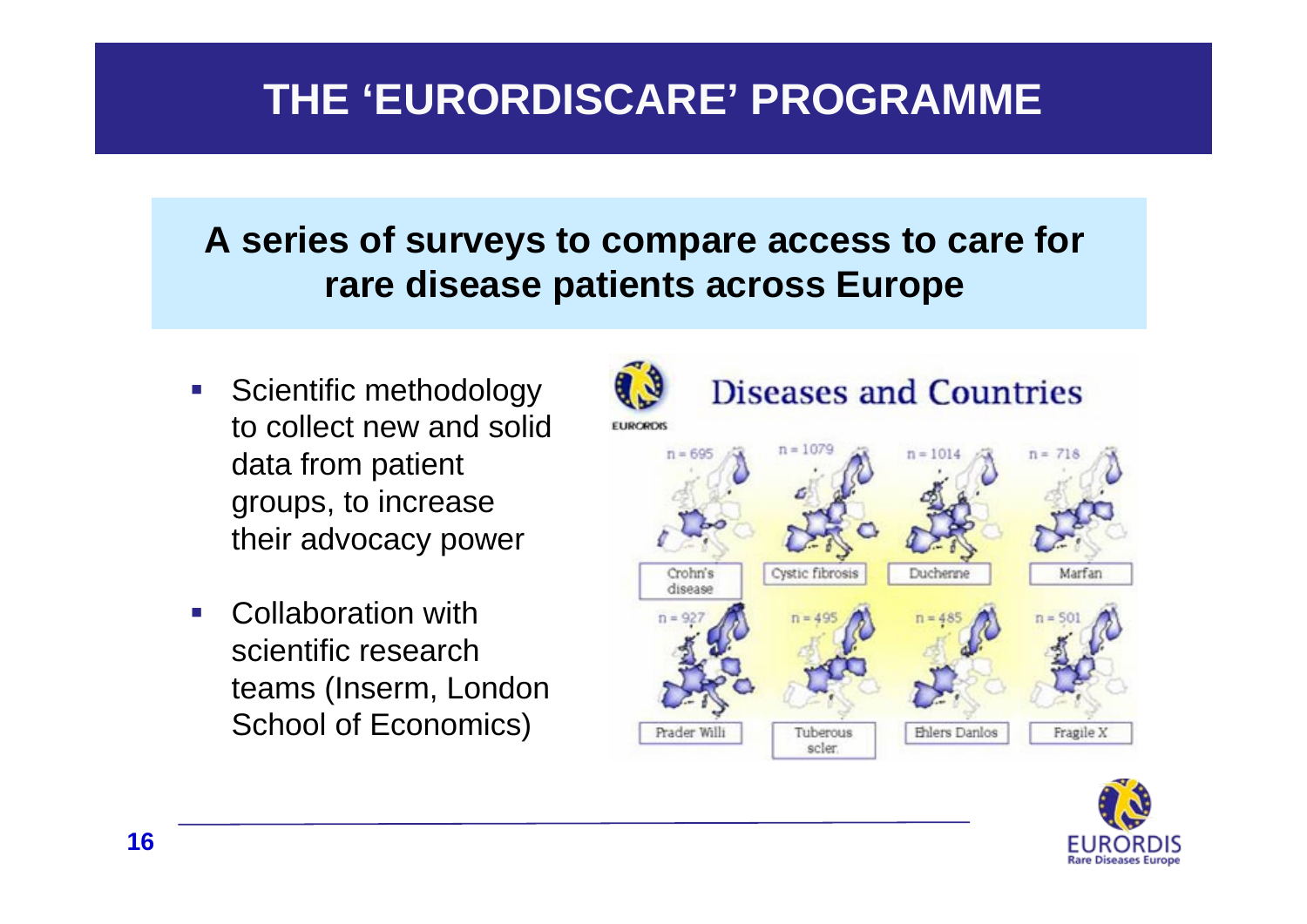# **THE 'EURORDISCARE' PROGRAMME**

## **A series of surveys to compare access to care for rare disease patients across Europe**

- **Scientific methodology** to collect new and solid data from patient groups, to increase their advocacy power
- $\mathcal{L}^{\text{max}}$  Collaboration with scientific research teams (Inserm, London School of Economics)



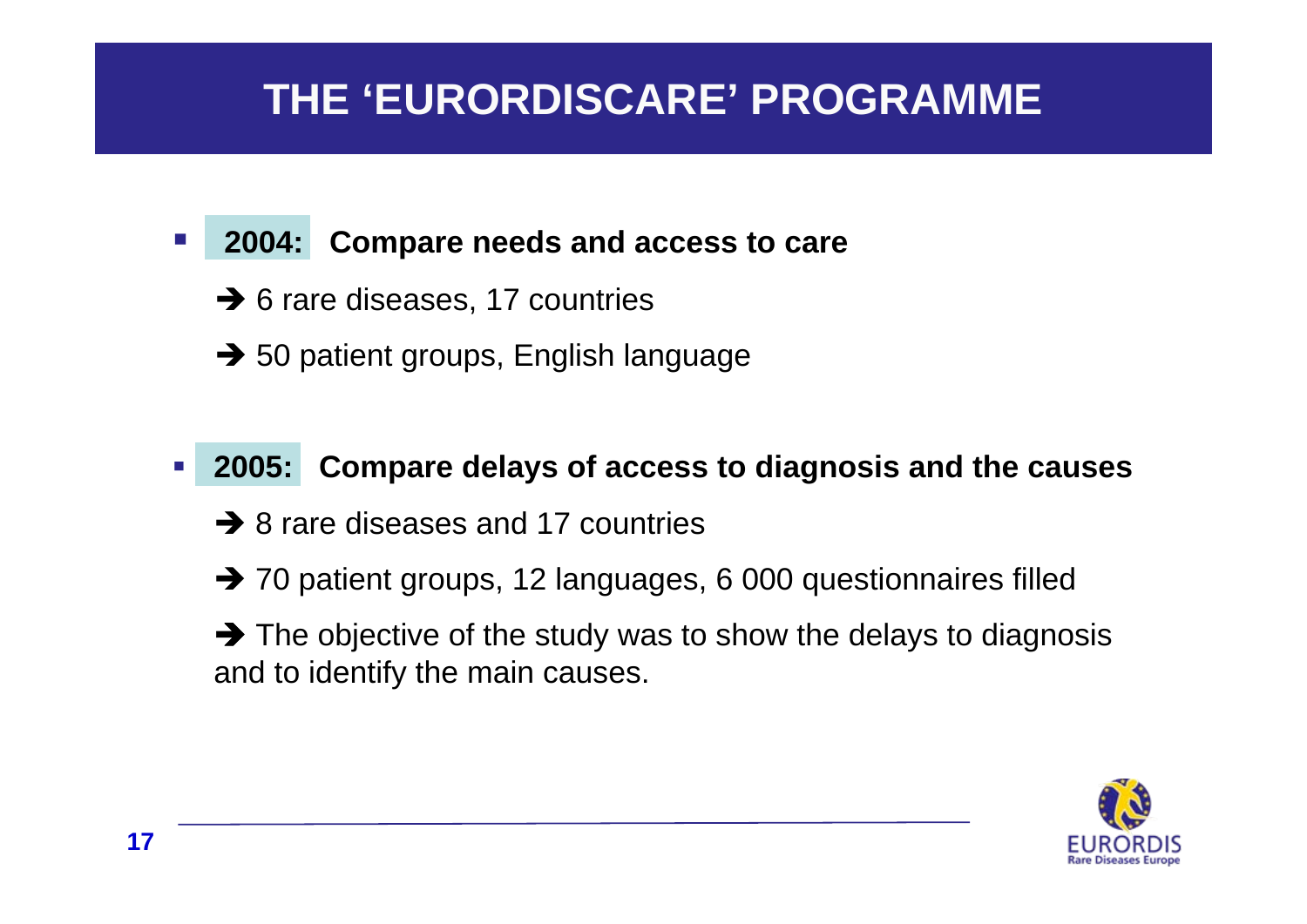# **THE 'EURORDISCARE' PROGRAMME**

#### $\mathcal{L}_{\mathcal{A}}$ **2004: Compare needs and access to care**

- $\rightarrow$  6 rare diseases, 17 countries
- $\rightarrow$  50 patient groups, English language
- $\mathcal{L}_{\mathcal{A}}$  **2005: Compare delays of access to diagnosis and the causes** 
	- $\rightarrow$  8 rare diseases and 17 countries
	- $\rightarrow$  70 patient groups, 12 languages, 6 000 questionnaires filled
	- $\rightarrow$  The objective of the study was to show the delays to diagnosis and to identify the main causes.

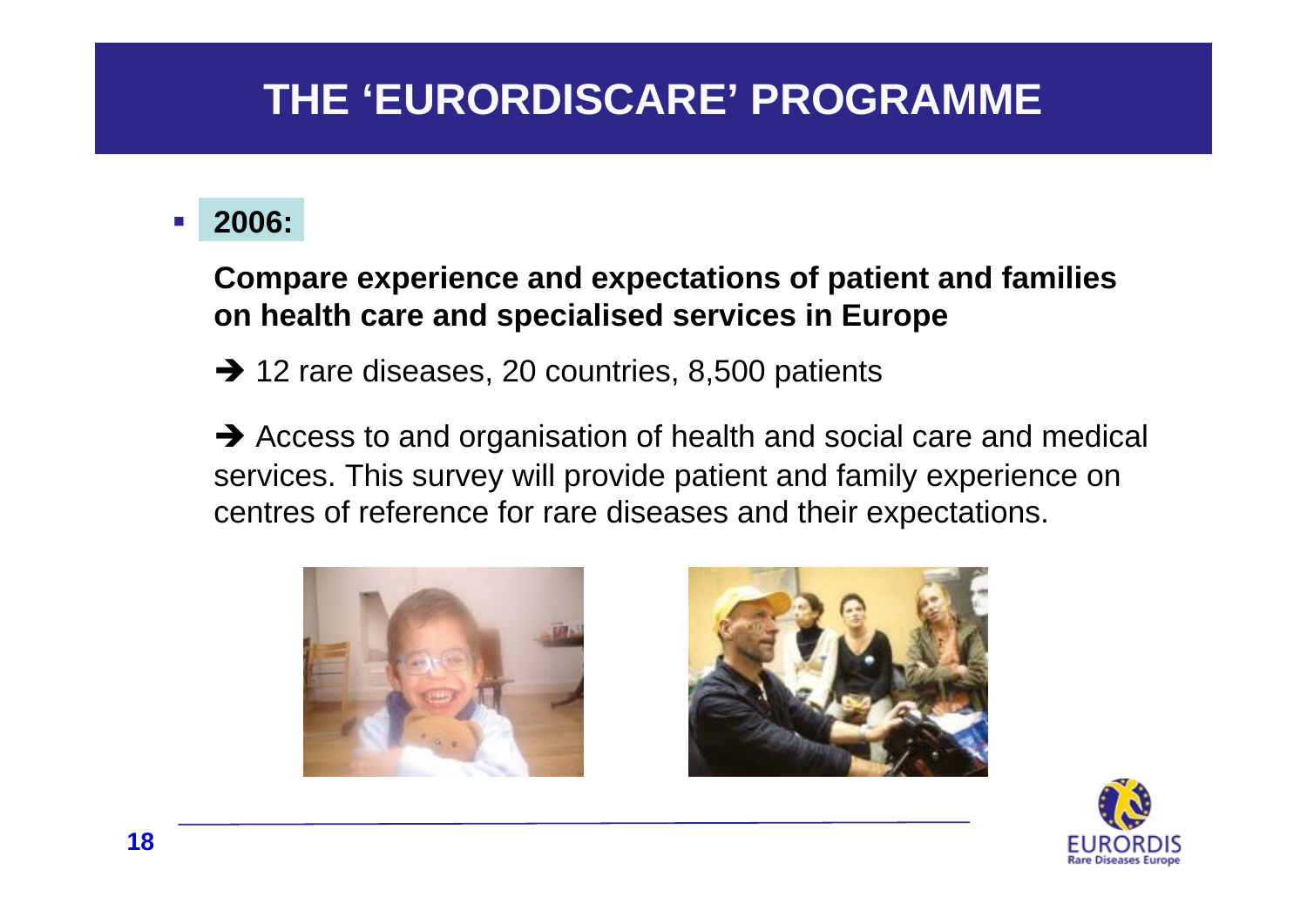# **THE 'EURORDISCARE' PROGRAMME**

#### **Service Service 2006:**

### **Compare experience and expectations of patient and families on health care and specialised services in Europe**

 $\rightarrow$  12 rare diseases, 20 countries, 8,500 patients

 $\rightarrow$  Access to and organisation of health and social care and medical services. This survey will provide patient and family experience on centres of reference for rare diseases and their expectations.





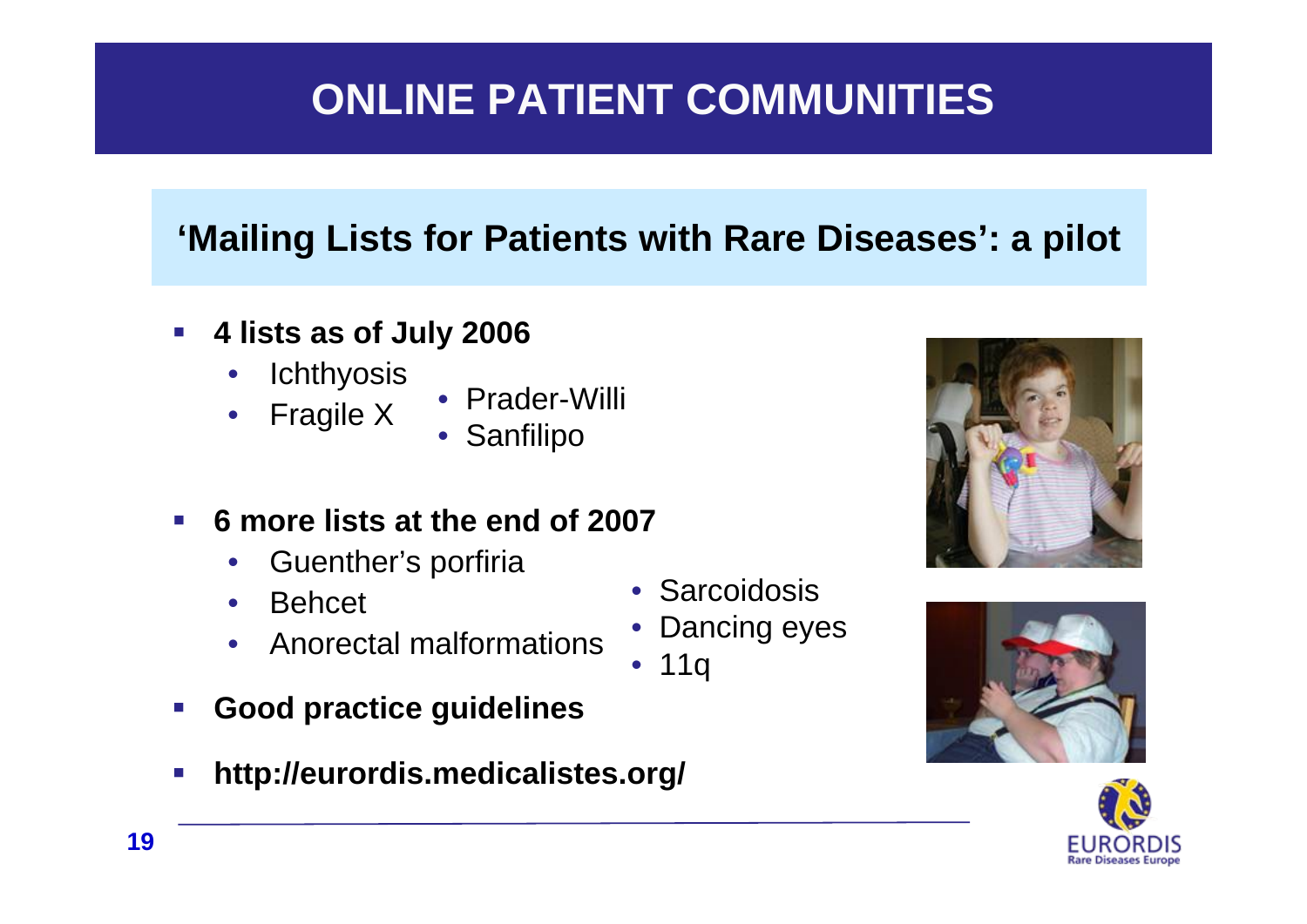# **ONLINE PATIENT COMMUNITIES**

## **'Mailing Lists for Patients with Rare Diseases': a pilot**

- $\overline{\mathcal{L}}$  **4 lists as of July 2006**
	- **Ichthyosis**
	- Fragile X
- Prader-Willi
- Sanfilipo
- $\mathcal{L}_{\mathcal{A}}$  **6 more lists at the end of 2007**
	- Guenther's porfiria
	- Behcet
	- Anorectal malformations
- $\mathcal{L}_{\mathcal{A}}$ **Good practice guidelines**
- $\mathcal{C}^{\mathcal{A}}$ **http://eurordis.medicalistes.org/**







- Sarcoidosis
- Dancing eyes
- 11q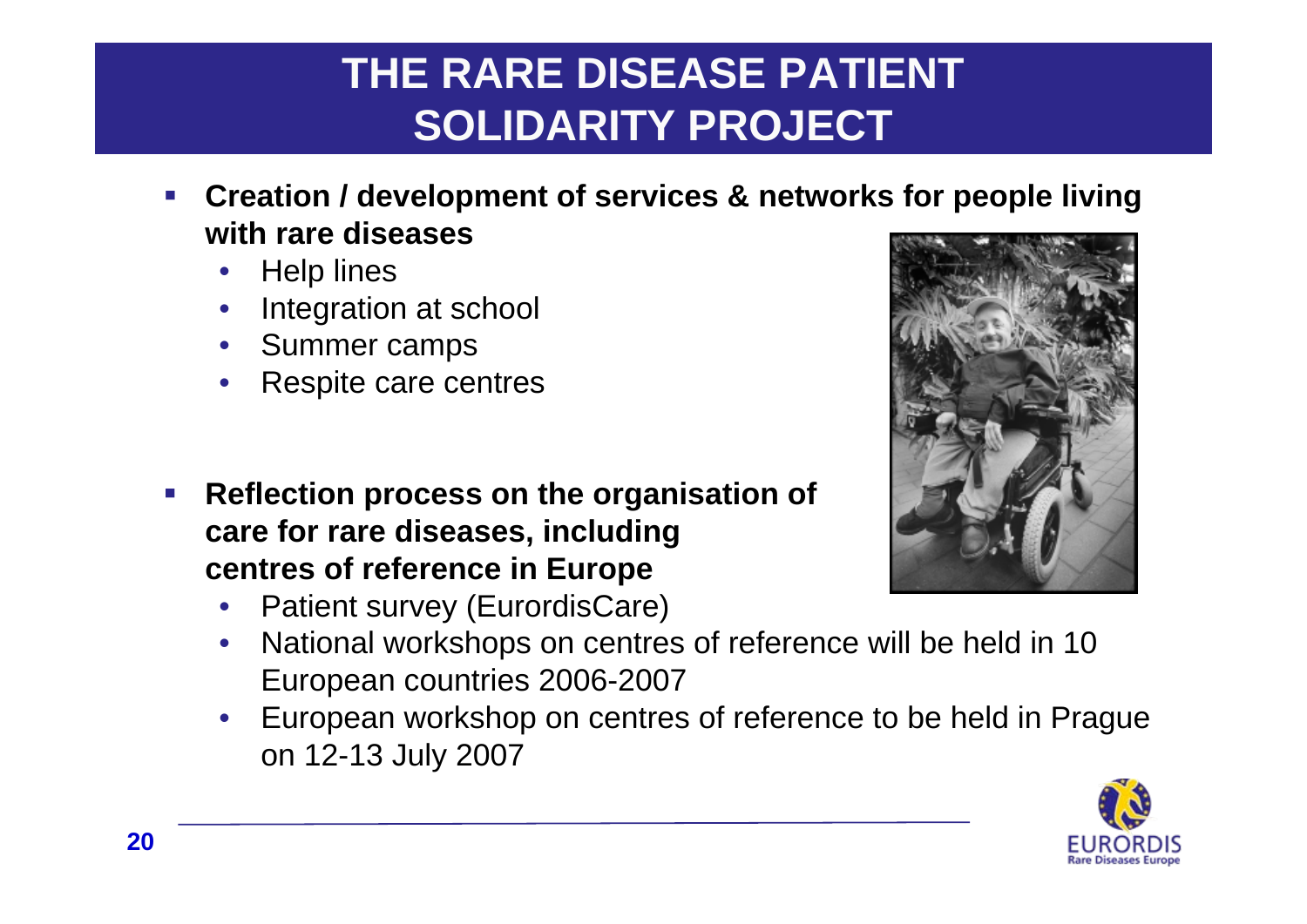# **THE RARE DISEASE PATIENT SOLIDARITY PROJECT**

- $\overline{\mathbb{R}}$  **Creation / development of services & networks for people living with rare diseases**
	- Help lines
	- Integration at school
	- Summer camps
	- Respite care centres
- $\mathcal{L}(\mathcal{L})$  **Reflection process on the organisation of care for rare diseases, including centres of reference in Europe**
	- Patient survey (EurordisCare)
	- National workshops on centres of reference will be held in 10 European countries 2006-2007
	- European workshop on centres of reference to be held in Prague on 12-13 July 2007



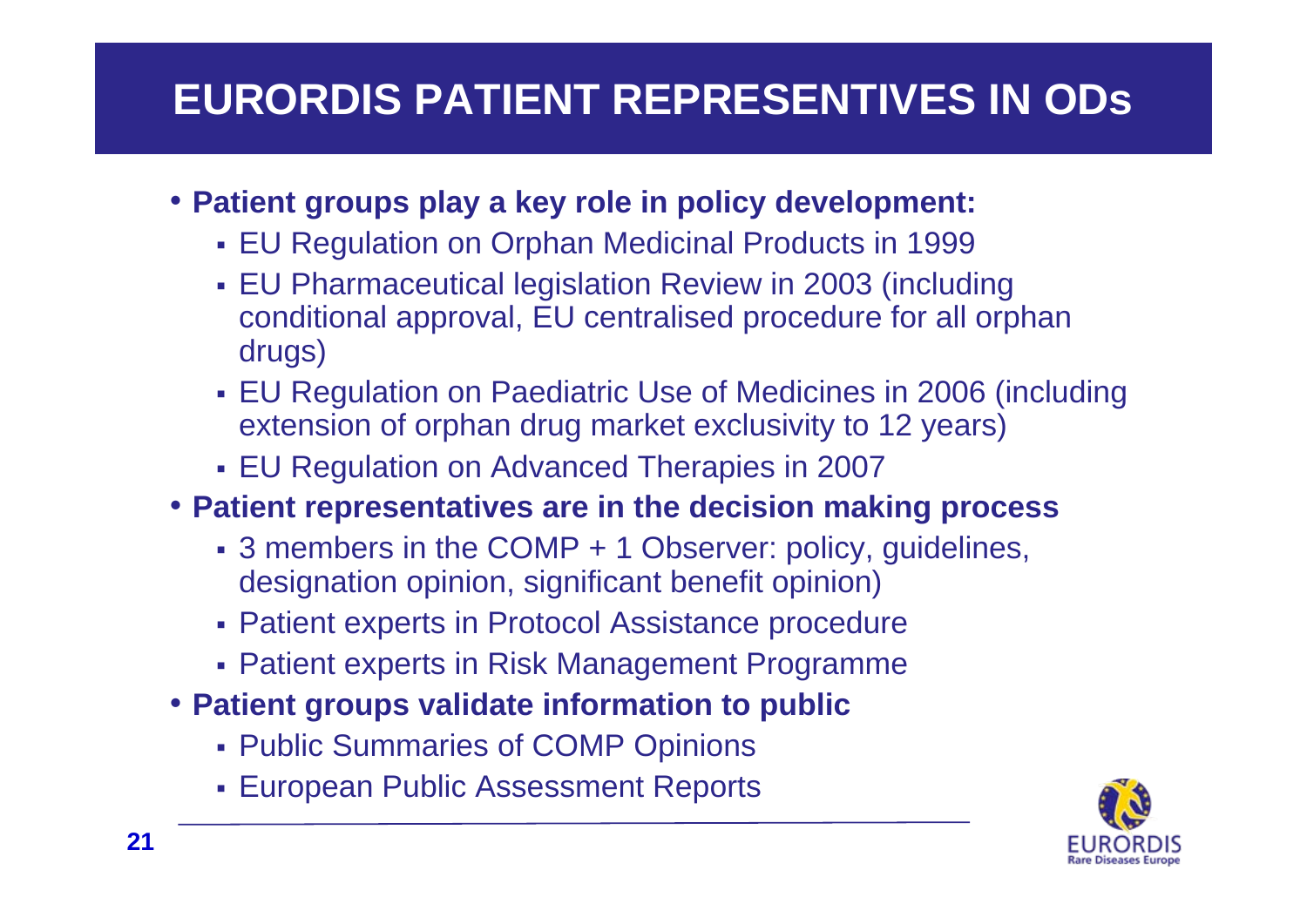# **EURORDIS PATIENT REPRESENTIVES IN ODs**

### • **Patient groups play a key role in policy development:**

- EU Regulation on Orphan Medicinal Products in 1999
- EU Pharmaceutical legislation Review in 2003 (including conditional approval, EU centralised procedure for all orphan drugs)
- EU Regulation on Paediatric Use of Medicines in 2006 (including extension of orphan drug market exclusivity to 12 years)
- EU Regulation on Advanced Therapies in 2007
- **Patient representatives are in the decision making process**
	- 3 members in the COMP + 1 Observer: policy, guidelines, designation opinion, significant benefit opinion)
	- Patient experts in Protocol Assistance procedure
	- Patient experts in Risk Management Programme
- **Patient groups validate information to public**
	- Public Summaries of COMP Opinions
	- European Public Assessment Reports

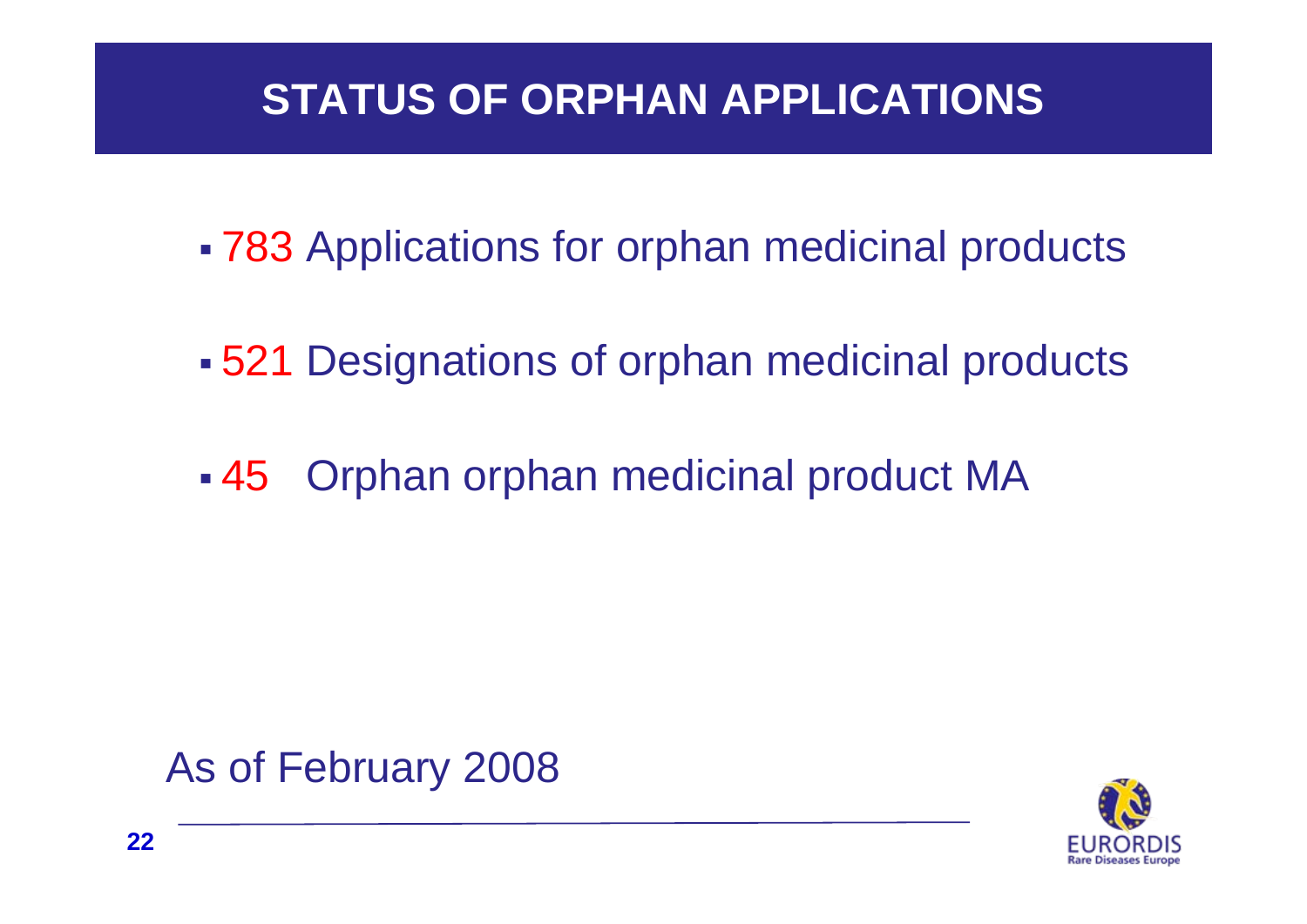## **STATUS OF ORPHAN APPLICATIONS**

- 783 Applications for orphan medicinal products
- 521 Designations of orphan medicinal products
- $\mathcal{L}(\mathcal{L})$ 45 Orphan orphan medicinal product MA



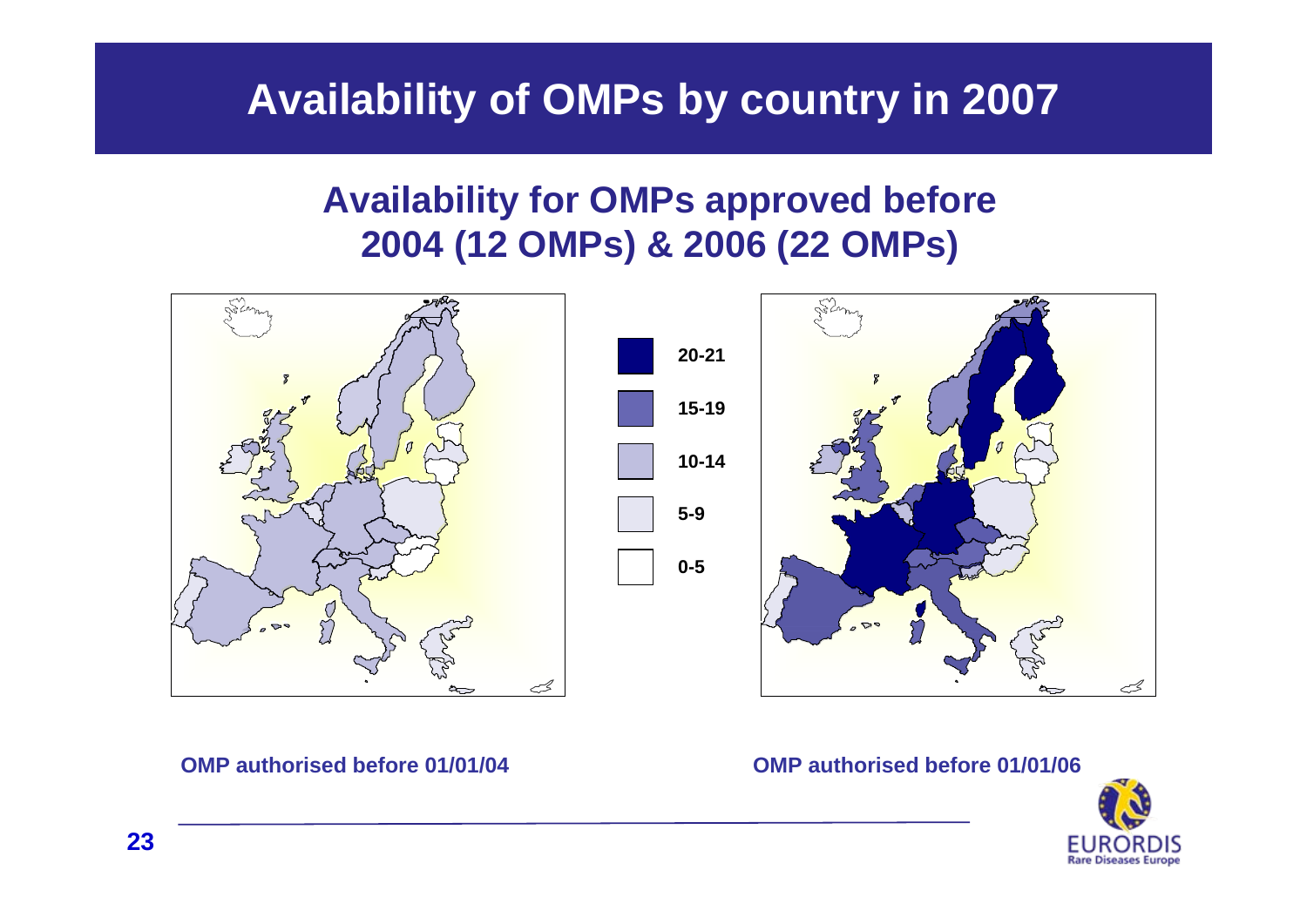## **Availability of OMPs by country in 2007**

## **Availability for OMPs approved before 2004 (12 OMPs) & 2006 (22 OMPs)**



#### **OMP authorised before 01/01/04**

**OMP authorised before 01/01/06**

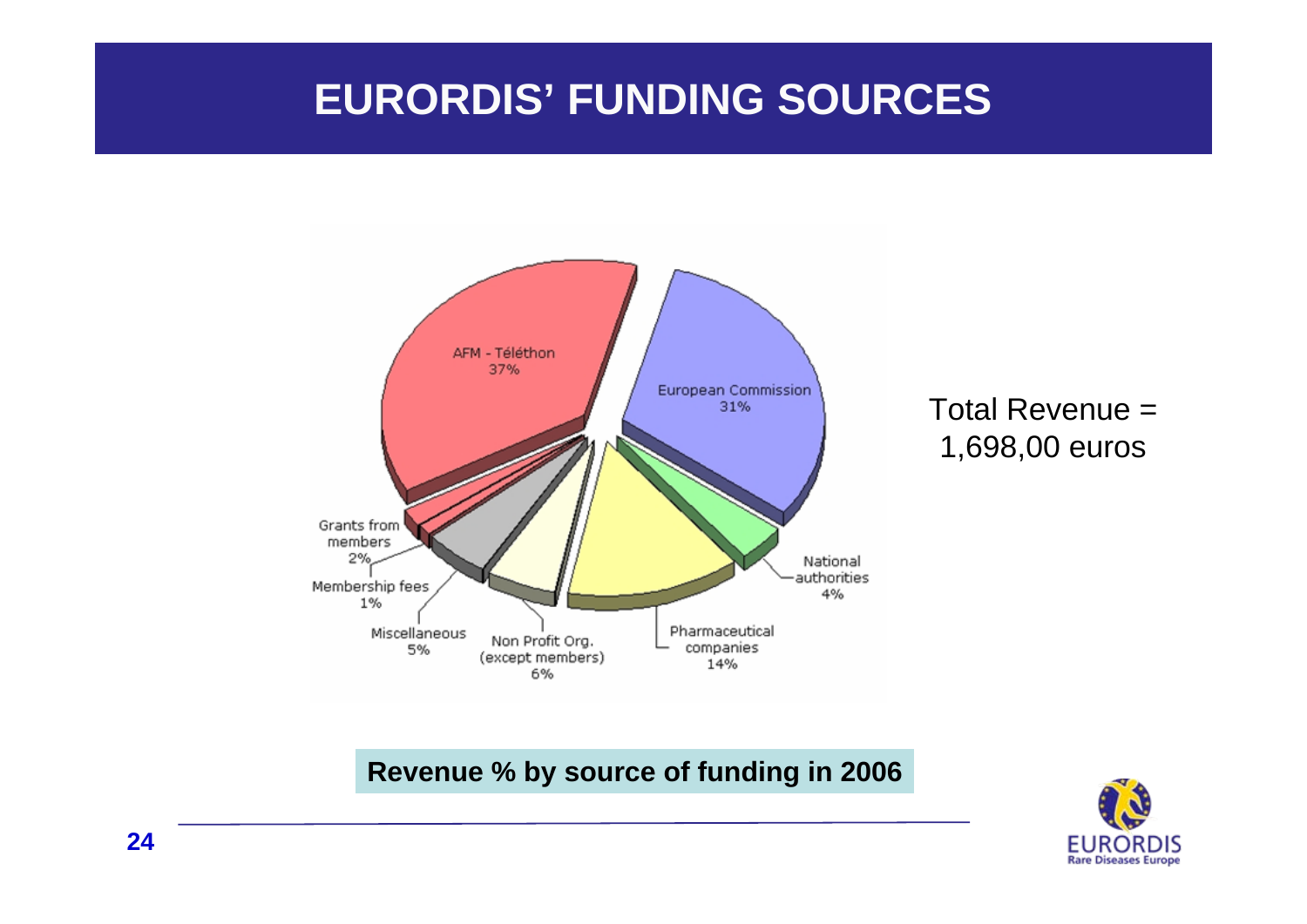## **EURORDIS' FUNDING SOURCES**



### Total Revenue =1,698,00 euros

### **Revenue % by source of funding in 2006**

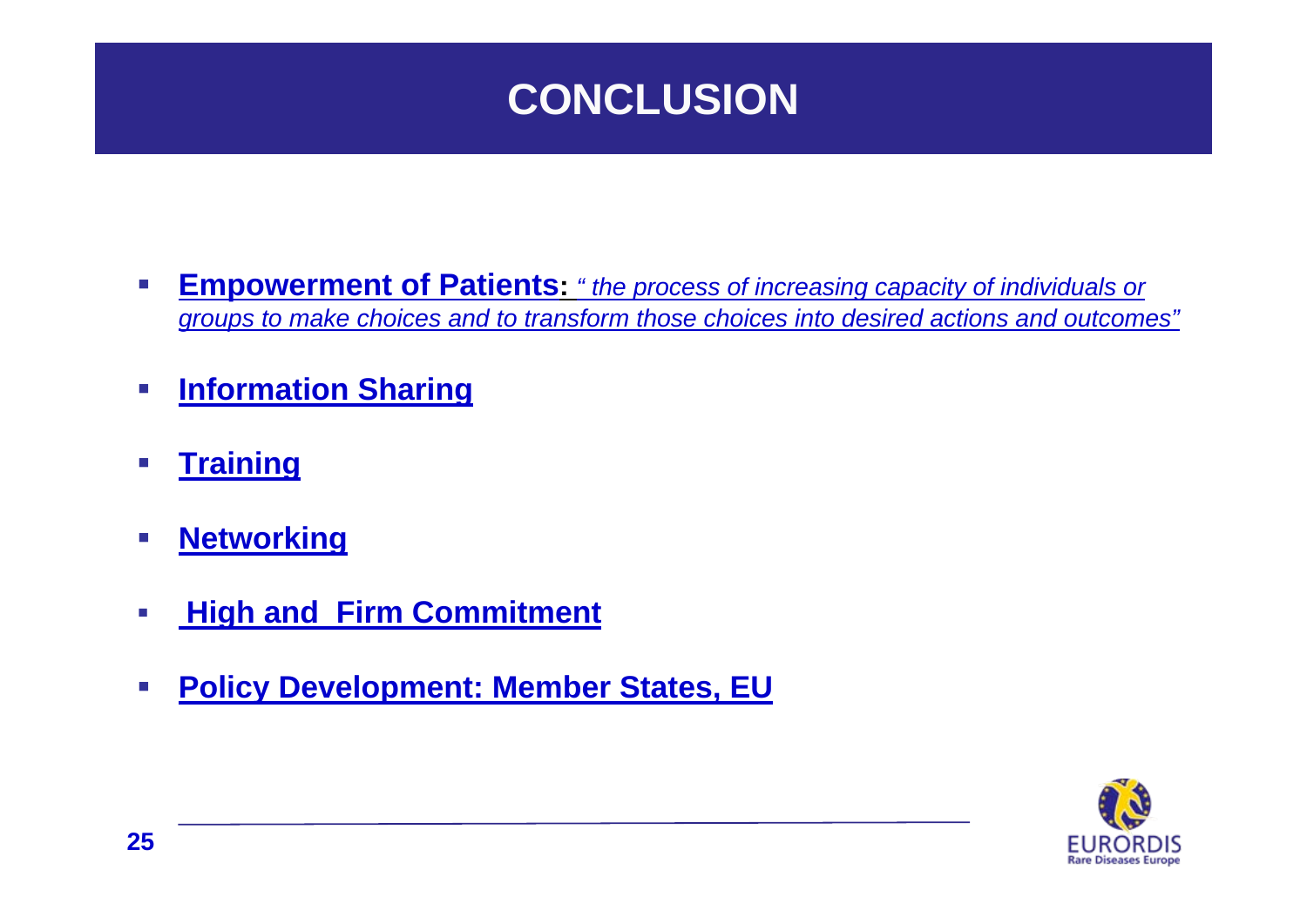## **CONCLUSION**

- **Empowerment of Patients:** *" the process of increasing capacity of individuals or groups to make choices and to transform those choices into desired actions and outcomes"*
- **Service Service Information Sharing**
- **Service Service Training**
- $\sim$ **Networking**
- $\sim$ **High and Firm Commitment**
- **Service Service Policy Development: Member States, EU**

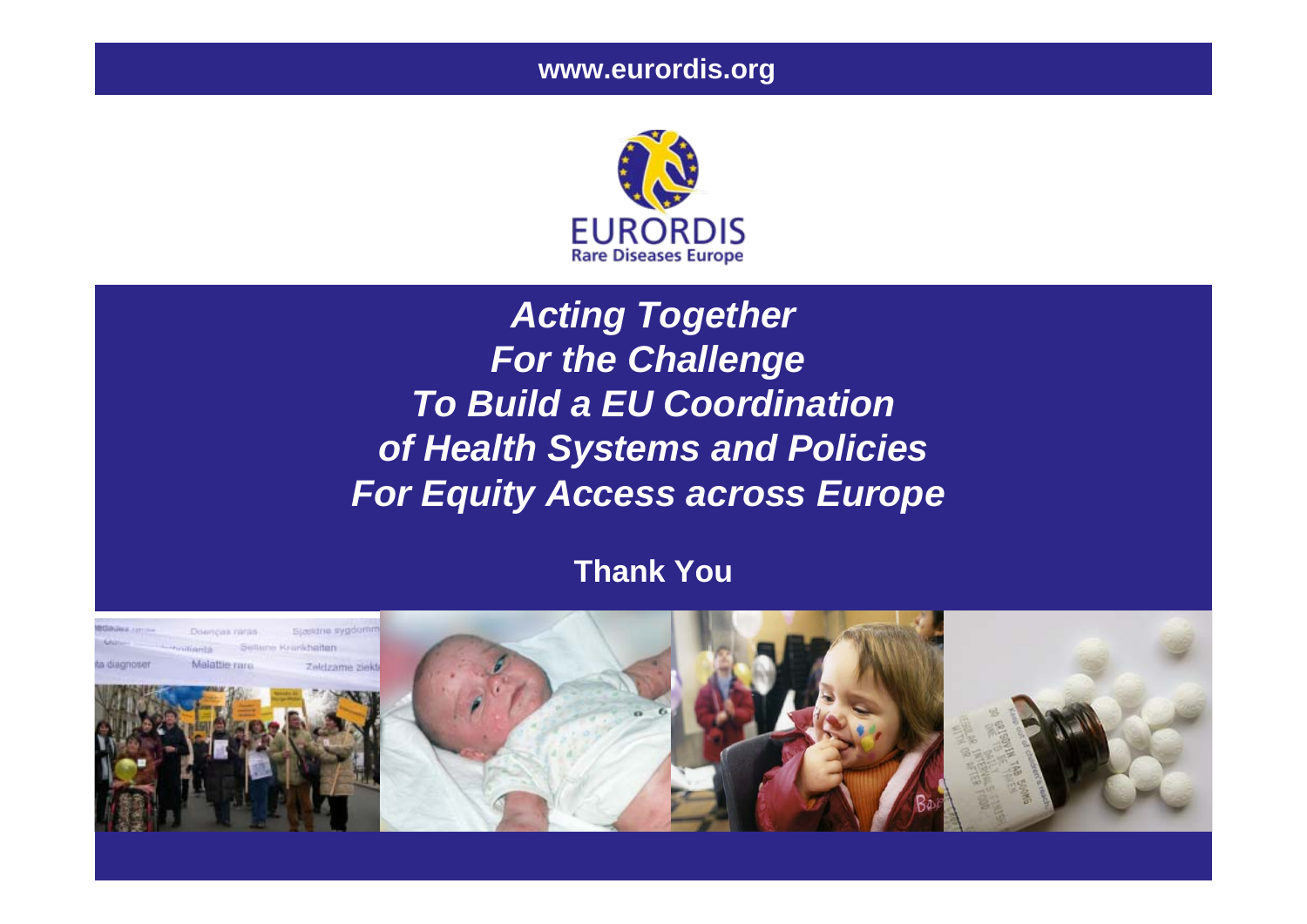

## *Acting Together For the Challenge To Build a EU Coordinationof Health Systems and Policies For Equity Access across Europe*

### **Thank You**